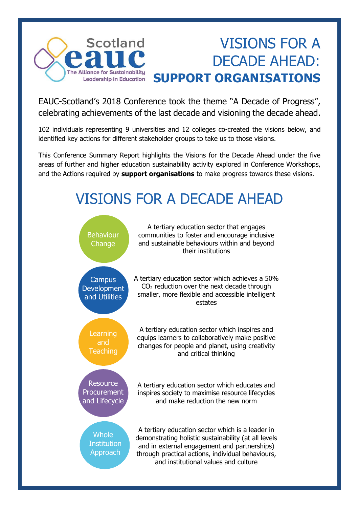

# VISIONS FOR A DECADE AHEAD: **SUPPORT ORGANISATIONS**

EAUC-Scotland's 2018 Conference took the theme "A Decade of Progress", celebrating achievements of the last decade and visioning the decade ahead.

102 individuals representing 9 universities and 12 colleges co-created the visions below, and identified key actions for different stakeholder groups to take us to those visions.

This Conference Summary Report highlights the Visions for the Decade Ahead under the five areas of further and higher education sustainability activity explored in Conference Workshops, and the Actions required by **support organisations** to make progress towards these visions.

# VISIONS FOR A DECADE AHEAD